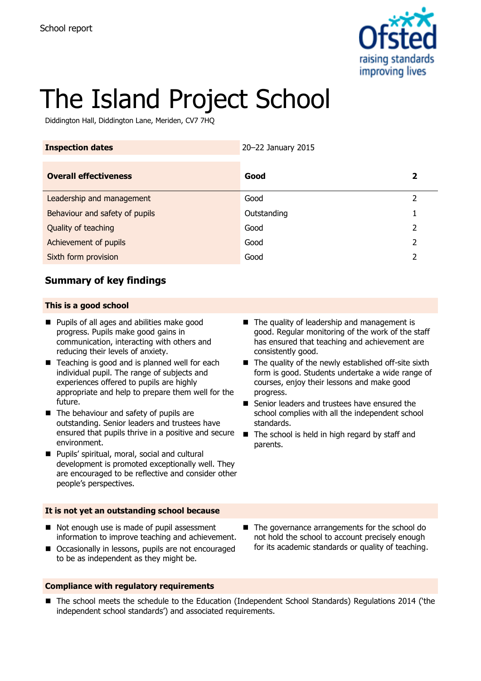

# The Island Project School

Diddington Hall, Diddington Lane, Meriden, CV7 7HQ

| <b>Inspection dates</b>        | 20-22 January 2015 |   |
|--------------------------------|--------------------|---|
| <b>Overall effectiveness</b>   | Good               | 2 |
| Leadership and management      | Good               | 2 |
| Behaviour and safety of pupils | Outstanding        |   |
| Quality of teaching            | Good               | 2 |
| Achievement of pupils          | Good               | 2 |
| Sixth form provision           | Good               |   |

## **Summary of key findings**

#### **This is a good school**

- **Pupils of all ages and abilities make good** progress. Pupils make good gains in communication, interacting with others and reducing their levels of anxiety.
- Teaching is good and is planned well for each individual pupil. The range of subjects and experiences offered to pupils are highly appropriate and help to prepare them well for the future.
- The behaviour and safety of pupils are outstanding. Senior leaders and trustees have ensured that pupils thrive in a positive and secure environment.
- Pupils' spiritual, moral, social and cultural development is promoted exceptionally well. They are encouraged to be reflective and consider other people's perspectives.

#### **It is not yet an outstanding school because**

- Not enough use is made of pupil assessment information to improve teaching and achievement.
- Occasionally in lessons, pupils are not encouraged to be as independent as they might be.
- **Compliance with regulatory requirements**
- $\blacksquare$  The quality of leadership and management is good. Regular monitoring of the work of the staff has ensured that teaching and achievement are consistently good.
- $\blacksquare$  The quality of the newly established off-site sixth form is good. Students undertake a wide range of courses, enjoy their lessons and make good progress.
- Senior leaders and trustees have ensured the school complies with all the independent school standards.
- $\blacksquare$  The school is held in high regard by staff and parents.

- The governance arrangements for the school do not hold the school to account precisely enough for its academic standards or quality of teaching.
- The school meets the schedule to the Education (Independent School Standards) Regulations 2014 ('the independent school standards') and associated requirements.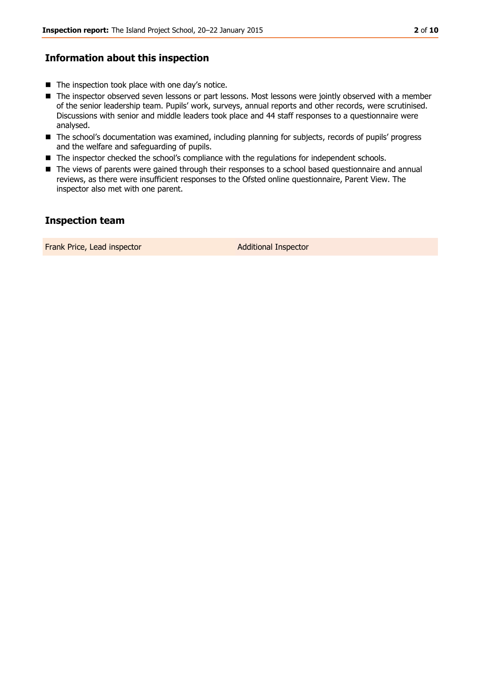## **Information about this inspection**

- $\blacksquare$  The inspection took place with one day's notice.
- The inspector observed seven lessons or part lessons. Most lessons were jointly observed with a member of the senior leadership team. Pupils' work, surveys, annual reports and other records, were scrutinised. Discussions with senior and middle leaders took place and 44 staff responses to a questionnaire were analysed.
- The school's documentation was examined, including planning for subjects, records of pupils' progress and the welfare and safeguarding of pupils.
- The inspector checked the school's compliance with the regulations for independent schools.
- The views of parents were gained through their responses to a school based questionnaire and annual reviews, as there were insufficient responses to the Ofsted online questionnaire, Parent View. The inspector also met with one parent.

## **Inspection team**

Frank Price, Lead inspector and a set of Additional Inspector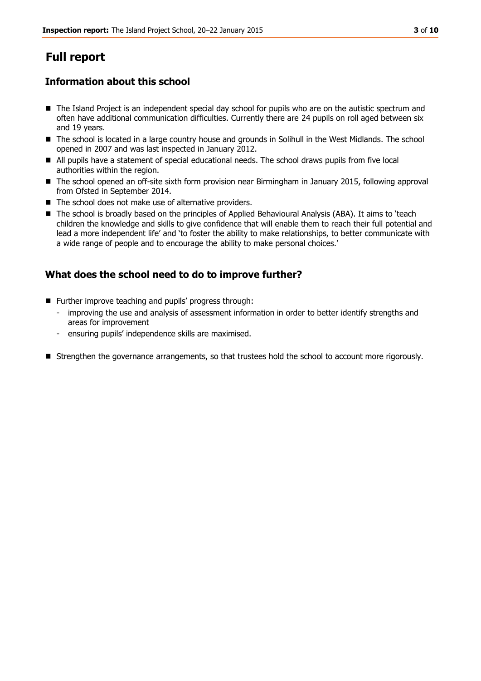## **Full report**

## **Information about this school**

- The Island Project is an independent special day school for pupils who are on the autistic spectrum and often have additional communication difficulties. Currently there are 24 pupils on roll aged between six and 19 years.
- The school is located in a large country house and grounds in Solihull in the West Midlands. The school opened in 2007 and was last inspected in January 2012.
- All pupils have a statement of special educational needs. The school draws pupils from five local authorities within the region.
- The school opened an off-site sixth form provision near Birmingham in January 2015, following approval from Ofsted in September 2014.
- The school does not make use of alternative providers.
- The school is broadly based on the principles of Applied Behavioural Analysis (ABA). It aims to 'teach children the knowledge and skills to give confidence that will enable them to reach their full potential and lead a more independent life' and 'to foster the ability to make relationships, to better communicate with a wide range of people and to encourage the ability to make personal choices.'

## **What does the school need to do to improve further?**

- Further improve teaching and pupils' progress through:
	- improving the use and analysis of assessment information in order to better identify strengths and areas for improvement
	- ensuring pupils' independence skills are maximised.
- **Strengthen the governance arrangements, so that trustees hold the school to account more rigorously.**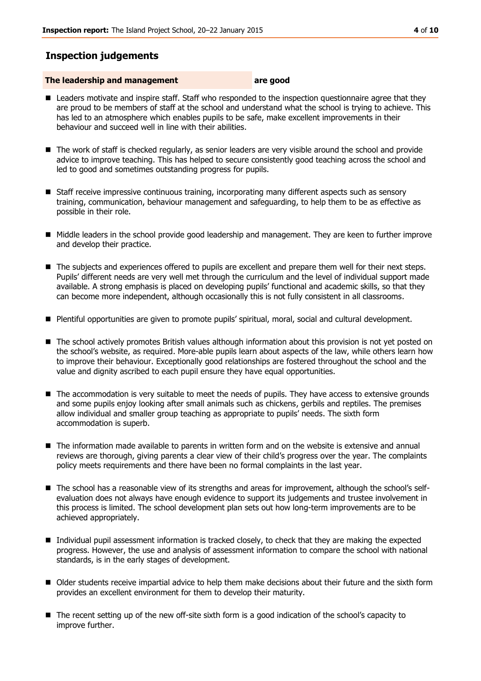## **Inspection judgements**

#### **The leadership and management are good**

- Leaders motivate and inspire staff. Staff who responded to the inspection questionnaire agree that they are proud to be members of staff at the school and understand what the school is trying to achieve. This has led to an atmosphere which enables pupils to be safe, make excellent improvements in their behaviour and succeed well in line with their abilities.
- The work of staff is checked regularly, as senior leaders are very visible around the school and provide advice to improve teaching. This has helped to secure consistently good teaching across the school and led to good and sometimes outstanding progress for pupils.
- Staff receive impressive continuous training, incorporating many different aspects such as sensory training, communication, behaviour management and safeguarding, to help them to be as effective as possible in their role.
- $\blacksquare$  Middle leaders in the school provide good leadership and management. They are keen to further improve and develop their practice.
- The subjects and experiences offered to pupils are excellent and prepare them well for their next steps. Pupils' different needs are very well met through the curriculum and the level of individual support made available. A strong emphasis is placed on developing pupils' functional and academic skills, so that they can become more independent, although occasionally this is not fully consistent in all classrooms.
- Plentiful opportunities are given to promote pupils' spiritual, moral, social and cultural development.
- The school actively promotes British values although information about this provision is not yet posted on the school's website, as required. More-able pupils learn about aspects of the law, while others learn how to improve their behaviour. Exceptionally good relationships are fostered throughout the school and the value and dignity ascribed to each pupil ensure they have equal opportunities.
- The accommodation is very suitable to meet the needs of pupils. They have access to extensive grounds and some pupils enjoy looking after small animals such as chickens, gerbils and reptiles. The premises allow individual and smaller group teaching as appropriate to pupils' needs. The sixth form accommodation is superb.
- The information made available to parents in written form and on the website is extensive and annual reviews are thorough, giving parents a clear view of their child's progress over the year. The complaints policy meets requirements and there have been no formal complaints in the last year.
- The school has a reasonable view of its strengths and areas for improvement, although the school's selfevaluation does not always have enough evidence to support its judgements and trustee involvement in this process is limited. The school development plan sets out how long-term improvements are to be achieved appropriately.
- Individual pupil assessment information is tracked closely, to check that they are making the expected progress. However, the use and analysis of assessment information to compare the school with national standards, is in the early stages of development.
- Older students receive impartial advice to help them make decisions about their future and the sixth form provides an excellent environment for them to develop their maturity.
- The recent setting up of the new off-site sixth form is a good indication of the school's capacity to improve further.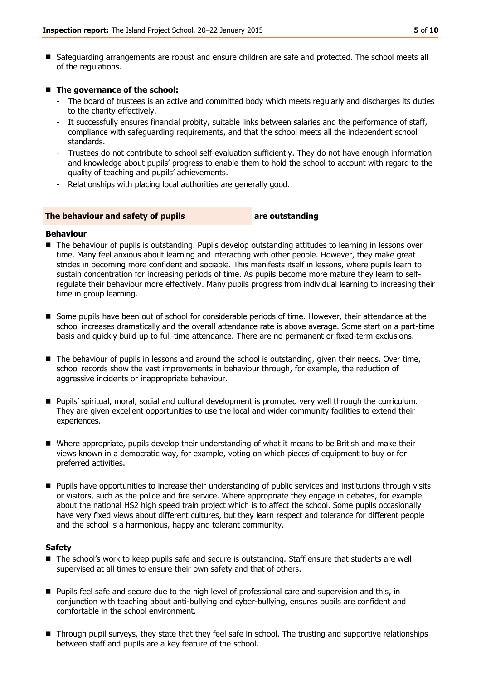Safeguarding arrangements are robust and ensure children are safe and protected. The school meets all of the regulations.

#### ■ The governance of the school:

- The board of trustees is an active and committed body which meets regularly and discharges its duties to the charity effectively.
- It successfully ensures financial probity, suitable links between salaries and the performance of staff, compliance with safeguarding requirements, and that the school meets all the independent school standards.
- Trustees do not contribute to school self-evaluation sufficiently. They do not have enough information and knowledge about pupils' progress to enable them to hold the school to account with regard to the quality of teaching and pupils' achievements.
- Relationships with placing local authorities are generally good.

#### **The behaviour and safety of pupils are outstanding**

#### **Behaviour**

- The behaviour of pupils is outstanding. Pupils develop outstanding attitudes to learning in lessons over time. Many feel anxious about learning and interacting with other people. However, they make great strides in becoming more confident and sociable. This manifests itself in lessons, where pupils learn to sustain concentration for increasing periods of time. As pupils become more mature they learn to selfregulate their behaviour more effectively. Many pupils progress from individual learning to increasing their time in group learning.
- Some pupils have been out of school for considerable periods of time. However, their attendance at the school increases dramatically and the overall attendance rate is above average. Some start on a part-time basis and quickly build up to full-time attendance. There are no permanent or fixed-term exclusions.
- The behaviour of pupils in lessons and around the school is outstanding, given their needs. Over time, school records show the vast improvements in behaviour through, for example, the reduction of aggressive incidents or inappropriate behaviour.
- **Pupils' spiritual, moral, social and cultural development is promoted very well through the curriculum.** They are given excellent opportunities to use the local and wider community facilities to extend their experiences.
- Where appropriate, pupils develop their understanding of what it means to be British and make their views known in a democratic way, for example, voting on which pieces of equipment to buy or for preferred activities.
- **Pupils have opportunities to increase their understanding of public services and institutions through visits** or visitors, such as the police and fire service. Where appropriate they engage in debates, for example about the national HS2 high speed train project which is to affect the school. Some pupils occasionally have very fixed views about different cultures, but they learn respect and tolerance for different people and the school is a harmonious, happy and tolerant community.

#### **Safety**

- The school's work to keep pupils safe and secure is outstanding. Staff ensure that students are well supervised at all times to ensure their own safety and that of others.
- **Pupils feel safe and secure due to the high level of professional care and supervision and this, in** conjunction with teaching about anti-bullying and cyber-bullying, ensures pupils are confident and comfortable in the school environment.
- Through pupil surveys, they state that they feel safe in school. The trusting and supportive relationships between staff and pupils are a key feature of the school.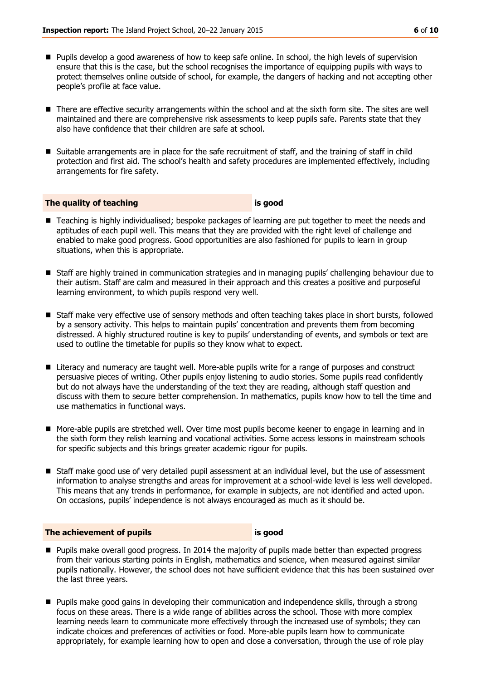- **Pupils develop a good awareness of how to keep safe online. In school, the high levels of supervision** ensure that this is the case, but the school recognises the importance of equipping pupils with ways to protect themselves online outside of school, for example, the dangers of hacking and not accepting other people's profile at face value.
- There are effective security arrangements within the school and at the sixth form site. The sites are well maintained and there are comprehensive risk assessments to keep pupils safe. Parents state that they also have confidence that their children are safe at school.
- Suitable arrangements are in place for the safe recruitment of staff, and the training of staff in child protection and first aid. The school's health and safety procedures are implemented effectively, including arrangements for fire safety.

#### **The quality of teaching is good**

- Teaching is highly individualised; bespoke packages of learning are put together to meet the needs and aptitudes of each pupil well. This means that they are provided with the right level of challenge and enabled to make good progress. Good opportunities are also fashioned for pupils to learn in group situations, when this is appropriate.
- Staff are highly trained in communication strategies and in managing pupils' challenging behaviour due to their autism. Staff are calm and measured in their approach and this creates a positive and purposeful learning environment, to which pupils respond very well.
- Staff make very effective use of sensory methods and often teaching takes place in short bursts, followed by a sensory activity. This helps to maintain pupils' concentration and prevents them from becoming distressed. A highly structured routine is key to pupils' understanding of events, and symbols or text are used to outline the timetable for pupils so they know what to expect.
- **Literacy and numeracy are taught well. More-able pupils write for a range of purposes and construct** persuasive pieces of writing. Other pupils enjoy listening to audio stories. Some pupils read confidently but do not always have the understanding of the text they are reading, although staff question and discuss with them to secure better comprehension. In mathematics, pupils know how to tell the time and use mathematics in functional ways.
- **More-able pupils are stretched well. Over time most pupils become keener to engage in learning and in** the sixth form they relish learning and vocational activities. Some access lessons in mainstream schools for specific subjects and this brings greater academic rigour for pupils.
- Staff make good use of very detailed pupil assessment at an individual level, but the use of assessment information to analyse strengths and areas for improvement at a school-wide level is less well developed. This means that any trends in performance, for example in subjects, are not identified and acted upon. On occasions, pupils' independence is not always encouraged as much as it should be.

#### **The achievement of pupils is good**

- **Pupils make overall good progress. In 2014 the majority of pupils made better than expected progress** from their various starting points in English, mathematics and science, when measured against similar pupils nationally. However, the school does not have sufficient evidence that this has been sustained over the last three years.
- **Pupils make good gains in developing their communication and independence skills, through a strong** focus on these areas. There is a wide range of abilities across the school. Those with more complex learning needs learn to communicate more effectively through the increased use of symbols; they can indicate choices and preferences of activities or food. More-able pupils learn how to communicate appropriately, for example learning how to open and close a conversation, through the use of role play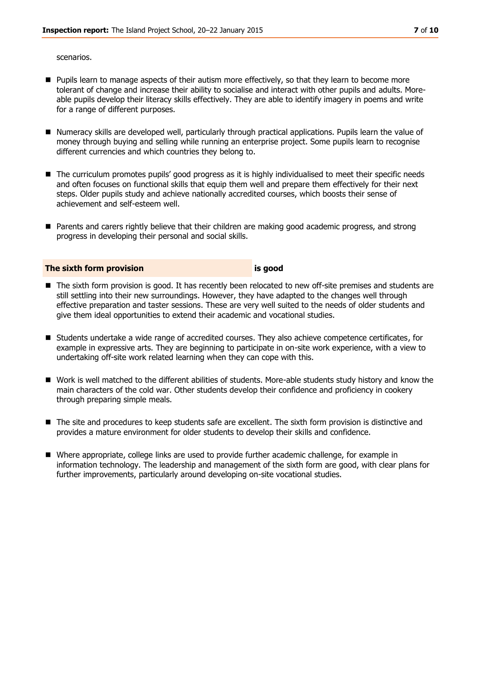scenarios.

- **Pupils learn to manage aspects of their autism more effectively, so that they learn to become more** tolerant of change and increase their ability to socialise and interact with other pupils and adults. Moreable pupils develop their literacy skills effectively. They are able to identify imagery in poems and write for a range of different purposes.
- Numeracy skills are developed well, particularly through practical applications. Pupils learn the value of money through buying and selling while running an enterprise project. Some pupils learn to recognise different currencies and which countries they belong to.
- The curriculum promotes pupils' good progress as it is highly individualised to meet their specific needs and often focuses on functional skills that equip them well and prepare them effectively for their next steps. Older pupils study and achieve nationally accredited courses, which boosts their sense of achievement and self-esteem well.
- Parents and carers rightly believe that their children are making good academic progress, and strong progress in developing their personal and social skills.

#### **The sixth form provision is good**

- The sixth form provision is good. It has recently been relocated to new off-site premises and students are still settling into their new surroundings. However, they have adapted to the changes well through effective preparation and taster sessions. These are very well suited to the needs of older students and give them ideal opportunities to extend their academic and vocational studies.
- Students undertake a wide range of accredited courses. They also achieve competence certificates, for example in expressive arts. They are beginning to participate in on-site work experience, with a view to undertaking off-site work related learning when they can cope with this.
- Work is well matched to the different abilities of students. More-able students study history and know the main characters of the cold war. Other students develop their confidence and proficiency in cookery through preparing simple meals.
- The site and procedures to keep students safe are excellent. The sixth form provision is distinctive and provides a mature environment for older students to develop their skills and confidence.
- Where appropriate, college links are used to provide further academic challenge, for example in information technology. The leadership and management of the sixth form are good, with clear plans for further improvements, particularly around developing on-site vocational studies.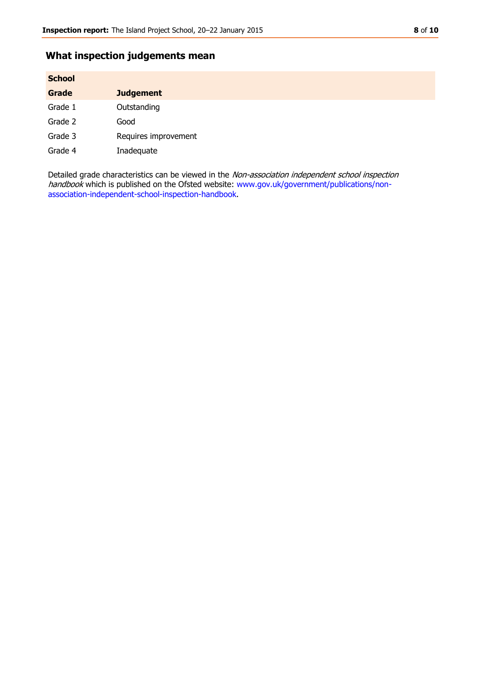## **What inspection judgements mean**

| <b>School</b> |                      |  |
|---------------|----------------------|--|
| Grade         | <b>Judgement</b>     |  |
| Grade 1       | Outstanding          |  |
| Grade 2       | Good                 |  |
| Grade 3       | Requires improvement |  |
| Grade 4       | Inadequate           |  |

Detailed grade characteristics can be viewed in the Non-association independent school inspection handbook which is published on the Ofsted website: [www.gov.uk/government/publications/non](http://www.gov.uk/government/publications/non-association-independent-school-inspection-handbook)[association-independent-school-inspection-handbook.](http://www.gov.uk/government/publications/non-association-independent-school-inspection-handbook)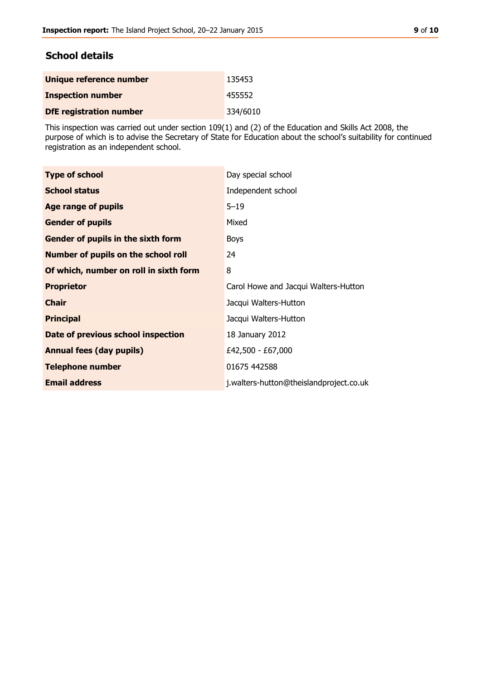### **School details**

| Unique reference number        | 135453   |
|--------------------------------|----------|
| <b>Inspection number</b>       | 455552   |
| <b>DfE registration number</b> | 334/6010 |

This inspection was carried out under section 109(1) and (2) of the Education and Skills Act 2008, the purpose of which is to advise the Secretary of State for Education about the school's suitability for continued registration as an independent school.

| <b>Type of school</b>                      | Day special school                      |
|--------------------------------------------|-----------------------------------------|
|                                            |                                         |
| <b>School status</b>                       | Independent school                      |
| <b>Age range of pupils</b>                 | $5 - 19$                                |
| <b>Gender of pupils</b>                    | Mixed                                   |
| <b>Gender of pupils in the sixth form</b>  | <b>Boys</b>                             |
| <b>Number of pupils on the school roll</b> | 24                                      |
| Of which, number on roll in sixth form     | 8                                       |
| <b>Proprietor</b>                          | Carol Howe and Jacqui Walters-Hutton    |
| <b>Chair</b>                               | Jacqui Walters-Hutton                   |
| <b>Principal</b>                           | Jacqui Walters-Hutton                   |
| Date of previous school inspection         | 18 January 2012                         |
| <b>Annual fees (day pupils)</b>            | £42,500 - £67,000                       |
| <b>Telephone number</b>                    | 01675 442588                            |
| <b>Email address</b>                       | j.walters-hutton@theislandproject.co.uk |